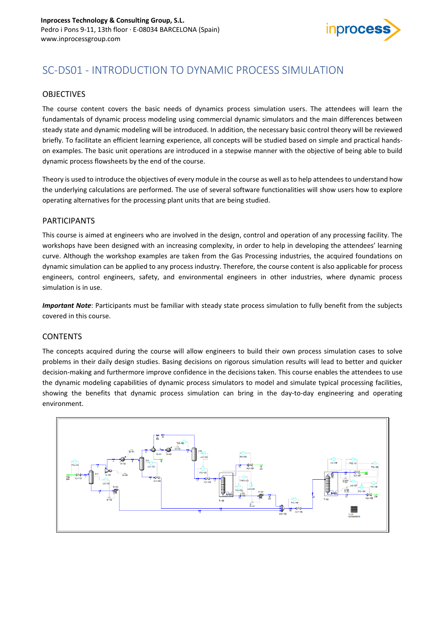

# SC-DS01 - INTRODUCTION TO DYNAMIC PROCESS SIMULATION

## OBJECTIVES

The course content covers the basic needs of dynamics process simulation users. The attendees will learn the fundamentals of dynamic process modeling using commercial dynamic simulators and the main differences between steady state and dynamic modeling will be introduced. In addition, the necessary basic control theory will be reviewed briefly. To facilitate an efficient learning experience, all concepts will be studied based on simple and practical handson examples. The basic unit operations are introduced in a stepwise manner with the objective of being able to build dynamic process flowsheets by the end of the course.

Theory is used to introduce the objectives of every module in the course as well as to help attendees to understand how the underlying calculations are performed. The use of several software functionalities will show users how to explore operating alternatives for the processing plant units that are being studied.

### PARTICIPANTS

This course is aimed at engineers who are involved in the design, control and operation of any processing facility. The workshops have been designed with an increasing complexity, in order to help in developing the attendees' learning curve. Although the workshop examples are taken from the Gas Processing industries, the acquired foundations on dynamic simulation can be applied to any process industry. Therefore, the course content is also applicable for process engineers, control engineers, safety, and environmental engineers in other industries, where dynamic process simulation is in use.

*Important Note*: Participants must be familiar with steady state process simulation to fully benefit from the subjects covered in this course.

#### **CONTENTS**

The concepts acquired during the course will allow engineers to build their own process simulation cases to solve problems in their daily design studies. Basing decisions on rigorous simulation results will lead to better and quicker decision-making and furthermore improve confidence in the decisions taken. This course enables the attendees to use the dynamic modeling capabilities of dynamic process simulators to model and simulate typical processing facilities, showing the benefits that dynamic process simulation can bring in the day-to-day engineering and operating environment.

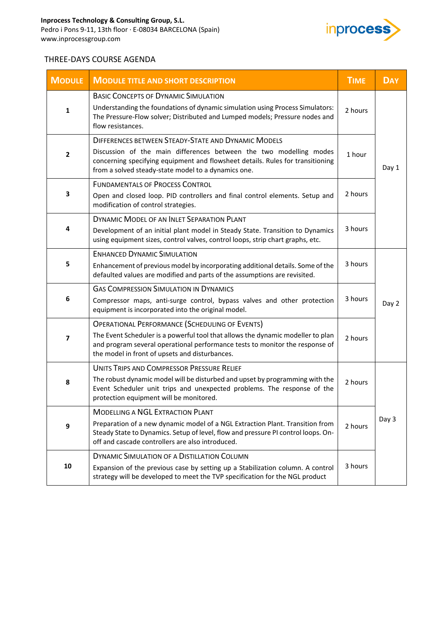

## THREE-DAYS COURSE AGENDA

| <b>MODULE</b>           | <b>MODULE TITLE AND SHORT DESCRIPTION</b>                                                                                                                                                                                                                                  | <b>TIME</b> | <b>DAY</b> |
|-------------------------|----------------------------------------------------------------------------------------------------------------------------------------------------------------------------------------------------------------------------------------------------------------------------|-------------|------------|
| 1                       | <b>BASIC CONCEPTS OF DYNAMIC SIMULATION</b><br>Understanding the foundations of dynamic simulation using Process Simulators:<br>The Pressure-Flow solver; Distributed and Lumped models; Pressure nodes and<br>flow resistances.                                           | 2 hours     |            |
| $\overline{\mathbf{2}}$ | DIFFERENCES BETWEEN STEADY-STATE AND DYNAMIC MODELS<br>Discussion of the main differences between the two modelling modes<br>concerning specifying equipment and flowsheet details. Rules for transitioning<br>from a solved steady-state model to a dynamics one.         | 1 hour      | Day 1      |
| 3                       | <b>FUNDAMENTALS OF PROCESS CONTROL</b><br>Open and closed loop. PID controllers and final control elements. Setup and<br>modification of control strategies.                                                                                                               | 2 hours     |            |
| 4                       | DYNAMIC MODEL OF AN INLET SEPARATION PLANT<br>Development of an initial plant model in Steady State. Transition to Dynamics<br>using equipment sizes, control valves, control loops, strip chart graphs, etc.                                                              | 3 hours     |            |
| 5                       | <b>ENHANCED DYNAMIC SIMULATION</b><br>Enhancement of previous model by incorporating additional details. Some of the<br>defaulted values are modified and parts of the assumptions are revisited.                                                                          | 3 hours     |            |
| 6                       | <b>GAS COMPRESSION SIMULATION IN DYNAMICS</b><br>Compressor maps, anti-surge control, bypass valves and other protection<br>equipment is incorporated into the original model.                                                                                             | 3 hours     | Day 2      |
| $\overline{\mathbf{z}}$ | <b>OPERATIONAL PERFORMANCE (SCHEDULING OF EVENTS)</b><br>The Event Scheduler is a powerful tool that allows the dynamic modeller to plan<br>and program several operational performance tests to monitor the response of<br>the model in front of upsets and disturbances. | 2 hours     |            |
| 8                       | UNITS TRIPS AND COMPRESSOR PRESSURE RELIEF<br>The robust dynamic model will be disturbed and upset by programming with the<br>Event Scheduler unit trips and unexpected problems. The response of the<br>protection equipment will be monitored.                           | 2 hours     |            |
| 9                       | <b>MODELLING A NGL EXTRACTION PLANT</b><br>Preparation of a new dynamic model of a NGL Extraction Plant. Transition from<br>Steady State to Dynamics. Setup of level, flow and pressure PI control loops. On-<br>off and cascade controllers are also introduced.          | 2 hours     | Day 3      |
| 10                      | DYNAMIC SIMULATION OF A DISTILLATION COLUMN<br>Expansion of the previous case by setting up a Stabilization column. A control<br>strategy will be developed to meet the TVP specification for the NGL product                                                              | 3 hours     |            |